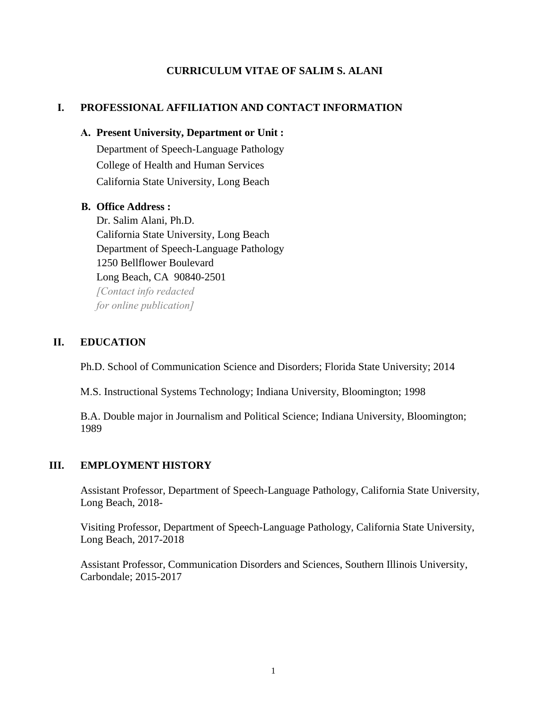#### **CURRICULUM VITAE OF SALIM S. ALANI**

### **I. PROFESSIONAL AFFILIATION AND CONTACT INFORMATION**

#### **A. Present University, Department or Unit :**

Department of Speech-Language Pathology College of Health and Human Services California State University, Long Beach

#### **B. Office Address :**

Dr. Salim Alani, Ph.D. California State University, Long Beach Department of Speech-Language Pathology 1250 Bellflower Boulevard Long Beach, CA 90840-2501 *[Cont[act info redacted](mailto:Salim.Alani@csulb.edu) for online publication]*

### **II. EDUCATION**

Ph.D. School of Communication Science and Disorders; Florida State University; 2014

M.S. Instructional Systems Technology; Indiana University, Bloomington; 1998

B.A. Double major in Journalism and Political Science; Indiana University, Bloomington; 1989

#### **III. EMPLOYMENT HISTORY**

Assistant Professor, Department of Speech-Language Pathology, California State University, Long Beach, 2018-

Visiting Professor, Department of Speech-Language Pathology, California State University, Long Beach, 2017-2018

Assistant Professor, Communication Disorders and Sciences, Southern Illinois University, Carbondale; 2015-2017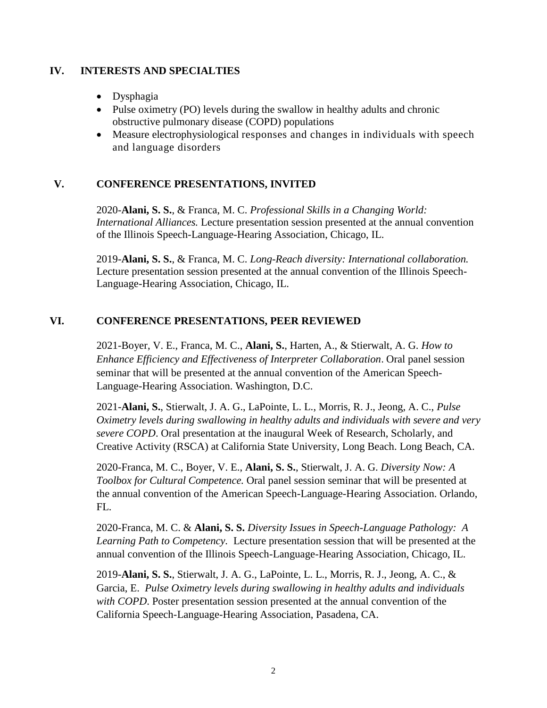#### **IV. INTERESTS AND SPECIALTIES**

- Dysphagia
- Pulse oximetry (PO) levels during the swallow in healthy adults and chronic obstructive pulmonary disease (COPD) populations
- Measure electrophysiological responses and changes in individuals with speech and language disorders

# **V. CONFERENCE PRESENTATIONS, INVITED**

2020-**Alani, S. S.**, & Franca, M. C. *Professional Skills in a Changing World: International Alliances.* Lecture presentation session presented at the annual convention of the Illinois Speech-Language-Hearing Association, Chicago, IL.

2019-**Alani, S. S.**, & Franca, M. C. *Long-Reach diversity: International collaboration.* Lecture presentation session presented at the annual convention of the Illinois Speech-Language-Hearing Association, Chicago, IL.

### **VI. CONFERENCE PRESENTATIONS, PEER REVIEWED**

2021-Boyer, V. E., Franca, M. C., **Alani, S.**, Harten, A., & Stierwalt, A. G. *How to Enhance Efficiency and Effectiveness of Interpreter Collaboration*. Oral panel session seminar that will be presented at the annual convention of the American Speech-Language-Hearing Association. Washington, D.C.

2021-**Alani, S.**, Stierwalt, J. A. G., LaPointe, L. L., Morris, R. J., Jeong, A. C., *Pulse Oximetry levels during swallowing in healthy adults and individuals with severe and very severe COPD*. Oral presentation at the inaugural Week of Research, Scholarly, and Creative Activity (RSCA) at California State University, Long Beach. Long Beach, CA.

2020-Franca, M. C., Boyer, V. E., **Alani, S. S.**, Stierwalt, J. A. G. *Diversity Now: A Toolbox for Cultural Competence.* Oral panel session seminar that will be presented at the annual convention of the American Speech-Language-Hearing Association. Orlando, FL.

2020-Franca, M. C. & **Alani, S. S.** *Diversity Issues in Speech-Language Pathology: A Learning Path to Competency.* Lecture presentation session that will be presented at the annual convention of the Illinois Speech-Language-Hearing Association, Chicago, IL.

2019-**Alani, S. S.**, Stierwalt, J. A. G., LaPointe, L. L., Morris, R. J., Jeong, A. C., & Garcia, E. *Pulse Oximetry levels during swallowing in healthy adults and individuals with COPD*. Poster presentation session presented at the annual convention of the California Speech-Language-Hearing Association, Pasadena, CA.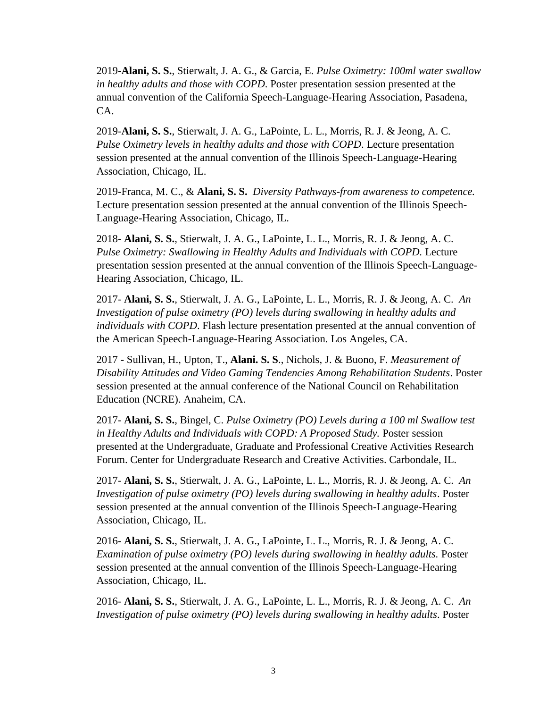2019-**Alani, S. S.**, Stierwalt, J. A. G., & Garcia, E. *Pulse Oximetry: 100ml water swallow in healthy adults and those with COPD*. Poster presentation session presented at the annual convention of the California Speech-Language-Hearing Association, Pasadena, CA.

2019-**Alani, S. S.**, Stierwalt, J. A. G., LaPointe, L. L., Morris, R. J. & Jeong, A. C. *Pulse Oximetry levels in healthy adults and those with COPD*. Lecture presentation session presented at the annual convention of the Illinois Speech-Language-Hearing Association, Chicago, IL.

2019-Franca, M. C., & **Alani, S. S.** *Diversity Pathways-from awareness to competence.*  Lecture presentation session presented at the annual convention of the Illinois Speech-Language-Hearing Association, Chicago, IL.

2018- **Alani, S. S.**, Stierwalt, J. A. G., LaPointe, L. L., Morris, R. J. & Jeong, A. C. *Pulse Oximetry: Swallowing in Healthy Adults and Individuals with COPD.* Lecture presentation session presented at the annual convention of the Illinois Speech-Language-Hearing Association, Chicago, IL.

2017- **Alani, S. S.**, Stierwalt, J. A. G., LaPointe, L. L., Morris, R. J. & Jeong, A. C. *An Investigation of pulse oximetry (PO) levels during swallowing in healthy adults and individuals with COPD*. Flash lecture presentation presented at the annual convention of the American Speech-Language-Hearing Association. Los Angeles, CA.

2017 - Sullivan, H., Upton, T., **Alani. S. S**., Nichols, J. & Buono, F. *Measurement of Disability Attitudes and Video Gaming Tendencies Among Rehabilitation Students*. Poster session presented at the annual conference of the National Council on Rehabilitation Education (NCRE). Anaheim, CA.

2017- **Alani, S. S.**, Bingel, C. *Pulse Oximetry (PO) Levels during a 100 ml Swallow test in Healthy Adults and Individuals with COPD: A Proposed Study. Poster session* presented at the Undergraduate, Graduate and Professional Creative Activities Research Forum. Center for Undergraduate Research and Creative Activities. Carbondale, IL.

2017- **Alani, S. S.**, Stierwalt, J. A. G., LaPointe, L. L., Morris, R. J. & Jeong, A. C. *An Investigation of pulse oximetry (PO) levels during swallowing in healthy adults*. Poster session presented at the annual convention of the Illinois Speech-Language-Hearing Association, Chicago, IL.

2016- **Alani, S. S.**, Stierwalt, J. A. G., LaPointe, L. L., Morris, R. J. & Jeong, A. C. *Examination of pulse oximetry (PO) levels during swallowing in healthy adults.* Poster session presented at the annual convention of the Illinois Speech-Language-Hearing Association, Chicago, IL.

2016- **Alani, S. S.**, Stierwalt, J. A. G., LaPointe, L. L., Morris, R. J. & Jeong, A. C. *An Investigation of pulse oximetry (PO) levels during swallowing in healthy adults*. Poster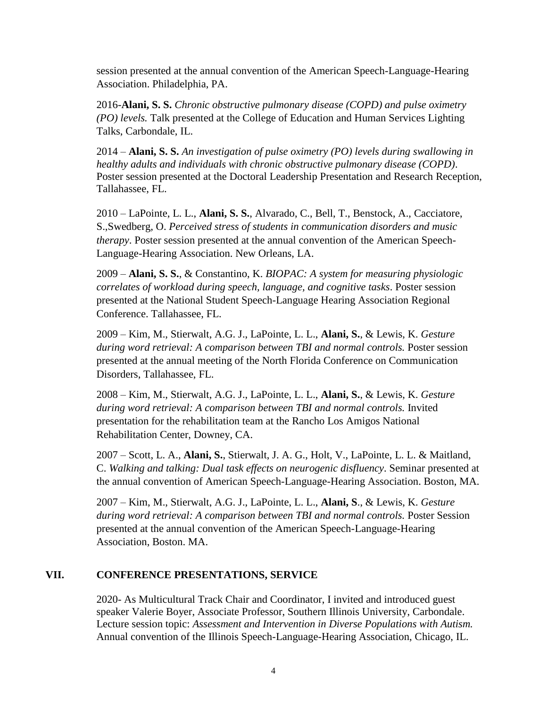session presented at the annual convention of the American Speech-Language-Hearing Association. Philadelphia, PA.

2016-**Alani, S. S.** *Chronic obstructive pulmonary disease (COPD) and pulse oximetry (PO) levels.* Talk presented at the College of Education and Human Services Lighting Talks, Carbondale, IL.

2014 – **Alani, S. S.** *An investigation of pulse oximetry (PO) levels during swallowing in healthy adults and individuals with chronic obstructive pulmonary disease (COPD)*. Poster session presented at the Doctoral Leadership Presentation and Research Reception, Tallahassee, FL.

2010 – LaPointe, L. L., **Alani, S. S.**, Alvarado, C., Bell, T., Benstock, A., Cacciatore, S.,Swedberg, O. *Perceived stress of students in communication disorders and music therapy*. Poster session presented at the annual convention of the American Speech-Language-Hearing Association. New Orleans, LA.

2009 – **Alani, S. S.**, & Constantino, K. *BIOPAC: A system for measuring physiologic correlates of workload during speech, language, and cognitive tasks*. Poster session presented at the National Student Speech-Language Hearing Association Regional Conference. Tallahassee, FL.

2009 – Kim, M., Stierwalt, A.G. J., LaPointe, L. L., **Alani, S.**, & Lewis, K. *Gesture during word retrieval: A comparison between TBI and normal controls.* Poster session presented at the annual meeting of the North Florida Conference on Communication Disorders, Tallahassee, FL.

2008 – Kim, M., Stierwalt, A.G. J., LaPointe, L. L., **Alani, S.**, & Lewis, K. *Gesture during word retrieval: A comparison between TBI and normal controls.* Invited presentation for the rehabilitation team at the Rancho Los Amigos National Rehabilitation Center, Downey, CA.

2007 – Scott, L. A., **Alani, S.**, Stierwalt, J. A. G., Holt, V., LaPointe, L. L. & Maitland, C. *Walking and talking: Dual task effects on neurogenic disfluency*. Seminar presented at the annual convention of American Speech-Language-Hearing Association. Boston, MA.

2007 – Kim, M., Stierwalt, A.G. J., LaPointe, L. L., **Alani, S**., & Lewis, K. *Gesture during word retrieval: A comparison between TBI and normal controls.* Poster Session presented at the annual convention of the American Speech-Language-Hearing Association, Boston. MA.

### **VII. CONFERENCE PRESENTATIONS, SERVICE**

2020- As Multicultural Track Chair and Coordinator, I invited and introduced guest speaker Valerie Boyer, Associate Professor, Southern Illinois University, Carbondale. Lecture session topic: *Assessment and Intervention in Diverse Populations with Autism.* Annual convention of the Illinois Speech-Language-Hearing Association, Chicago, IL.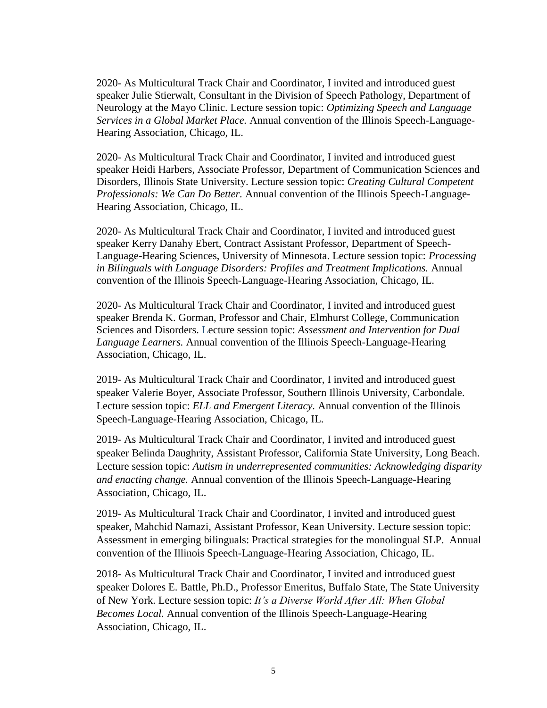2020- As Multicultural Track Chair and Coordinator, I invited and introduced guest speaker Julie Stierwalt, Consultant in the Division of Speech Pathology, Department of Neurology at the Mayo Clinic. Lecture session topic: *Optimizing Speech and Language Services in a Global Market Place.* Annual convention of the Illinois Speech-Language-Hearing Association, Chicago, IL.

2020- As Multicultural Track Chair and Coordinator, I invited and introduced guest speaker Heidi Harbers, Associate Professor, Department of Communication Sciences and Disorders, Illinois State University. Lecture session topic: *Creating Cultural Competent Professionals: We Can Do Better.* Annual convention of the Illinois Speech-Language-Hearing Association, Chicago, IL.

2020- As Multicultural Track Chair and Coordinator, I invited and introduced guest speaker Kerry Danahy Ebert, Contract Assistant Professor, Department of Speech-Language-Hearing Sciences, University of Minnesota. Lecture session topic: *Processing in Bilinguals with Language Disorders: Profiles and Treatment Implications.* Annual convention of the Illinois Speech-Language-Hearing Association, Chicago, IL.

2020- As Multicultural Track Chair and Coordinator, I invited and introduced guest speaker Brenda K. Gorman, Professor and Chair, Elmhurst College, Communication Sciences and Disorders. Lecture session topic: *Assessment and Intervention for Dual Language Learners.* Annual convention of the Illinois Speech-Language-Hearing Association, Chicago, IL.

2019- As Multicultural Track Chair and Coordinator, I invited and introduced guest speaker Valerie Boyer, Associate Professor, Southern Illinois University, Carbondale. Lecture session topic: *ELL and Emergent Literacy.* Annual convention of the Illinois Speech-Language-Hearing Association, Chicago, IL.

2019- As Multicultural Track Chair and Coordinator, I invited and introduced guest speaker Belinda Daughrity, Assistant Professor, California State University, Long Beach. Lecture session topic: *Autism in underrepresented communities: Acknowledging disparity and enacting change.* Annual convention of the Illinois Speech-Language-Hearing Association, Chicago, IL.

2019- As Multicultural Track Chair and Coordinator, I invited and introduced guest speaker, Mahchid Namazi, Assistant Professor, Kean University. Lecture session topic: Assessment in emerging bilinguals: Practical strategies for the monolingual SLP. Annual convention of the Illinois Speech-Language-Hearing Association, Chicago, IL.

2018- As Multicultural Track Chair and Coordinator, I invited and introduced guest speaker Dolores E. Battle, Ph.D., Professor Emeritus, Buffalo State, The State University of New York. Lecture session topic: *It's a Diverse World After All: When Global Becomes Local.* Annual convention of the Illinois Speech-Language-Hearing Association, Chicago, IL.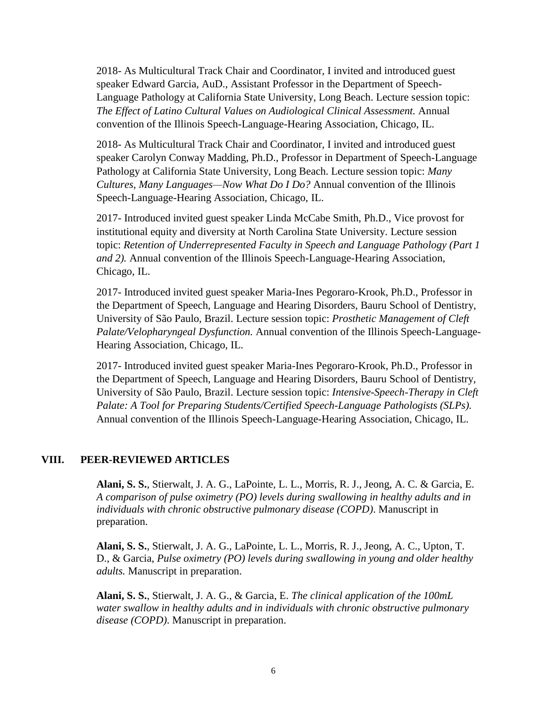2018- As Multicultural Track Chair and Coordinator, I invited and introduced guest speaker Edward Garcia, AuD., Assistant Professor in the Department of Speech-Language Pathology at California State University, Long Beach. Lecture session topic: *The Effect of Latino Cultural Values on Audiological Clinical Assessment.* Annual convention of the Illinois Speech-Language-Hearing Association, Chicago, IL.

2018- As Multicultural Track Chair and Coordinator, I invited and introduced guest speaker Carolyn Conway Madding, Ph.D., Professor in Department of Speech-Language Pathology at California State University, Long Beach. Lecture session topic: *Many Cultures, Many Languages—Now What Do I Do?* Annual convention of the Illinois Speech-Language-Hearing Association, Chicago, IL.

2017- Introduced invited guest speaker Linda McCabe Smith, Ph.D., Vice provost for institutional equity and diversity at North Carolina State University. Lecture session topic: *Retention of Underrepresented Faculty in Speech and Language Pathology (Part 1 and 2).* Annual convention of the Illinois Speech-Language-Hearing Association, Chicago, IL.

2017- Introduced invited guest speaker Maria-Ines Pegoraro-Krook, Ph.D., Professor in the Department of Speech, Language and Hearing Disorders, Bauru School of Dentistry, University of São Paulo, Brazil. Lecture session topic: *Prosthetic Management of Cleft Palate/Velopharyngeal Dysfunction.* Annual convention of the Illinois Speech-Language-Hearing Association, Chicago, IL.

2017- Introduced invited guest speaker Maria-Ines Pegoraro-Krook, Ph.D., Professor in the Department of Speech, Language and Hearing Disorders, Bauru School of Dentistry, University of São Paulo, Brazil. Lecture session topic: *Intensive-Speech-Therapy in Cleft Palate: A Tool for Preparing Students/Certified Speech-Language Pathologists (SLPs).*  Annual convention of the Illinois Speech-Language-Hearing Association, Chicago, IL.

### **VIII. PEER-REVIEWED ARTICLES**

**Alani, S. S.**, Stierwalt, J. A. G., LaPointe, L. L., Morris, R. J., Jeong, A. C. & Garcia, E. *A comparison of pulse oximetry (PO) levels during swallowing in healthy adults and in individuals with chronic obstructive pulmonary disease (COPD)*. Manuscript in preparation.

**Alani, S. S.**, Stierwalt, J. A. G., LaPointe, L. L., Morris, R. J., Jeong, A. C., Upton, T. D., & Garcia, *Pulse oximetry (PO) levels during swallowing in young and older healthy adults.* Manuscript in preparation.

**Alani, S. S.**, Stierwalt, J. A. G., & Garcia, E. *The clinical application of the 100mL water swallow in healthy adults and in individuals with chronic obstructive pulmonary disease (COPD)*. Manuscript in preparation.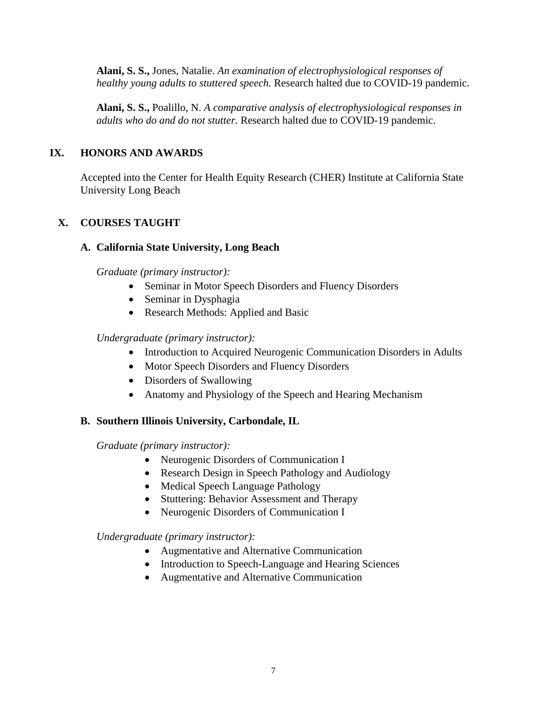**Alani, S. S.,** Jones, Natalie. *An examination of electrophysiological responses of healthy young adults to stuttered speech.* Research halted due to COVID-19 pandemic.

**Alani, S. S.,** Poalillo, N. *A comparative analysis of electrophysiological responses in adults who do and do not stutter.* Research halted due to COVID-19 pandemic.

# **IX. HONORS AND AWARDS**

Accepted into the Center for Health Equity Research (CHER) Institute at California State University Long Beach

# **X. COURSES TAUGHT**

### **A. California State University, Long Beach**

*Graduate (primary instructor):*

- Seminar in Motor Speech Disorders and Fluency Disorders
- Seminar in Dysphagia
- Research Methods: Applied and Basic

#### *Undergraduate (primary instructor):*

- Introduction to Acquired Neurogenic Communication Disorders in Adults
- Motor Speech Disorders and Fluency Disorders
- Disorders of Swallowing
- Anatomy and Physiology of the Speech and Hearing Mechanism

### **B. Southern Illinois University, Carbondale, IL**

*Graduate (primary instructor):*

- Neurogenic Disorders of Communication I
- Research Design in Speech Pathology and Audiology
- Medical Speech Language Pathology
- Stuttering: Behavior Assessment and Therapy
- Neurogenic Disorders of Communication I

### *Undergraduate (primary instructor):*

- Augmentative and Alternative Communication
- Introduction to Speech-Language and Hearing Sciences
- Augmentative and Alternative Communication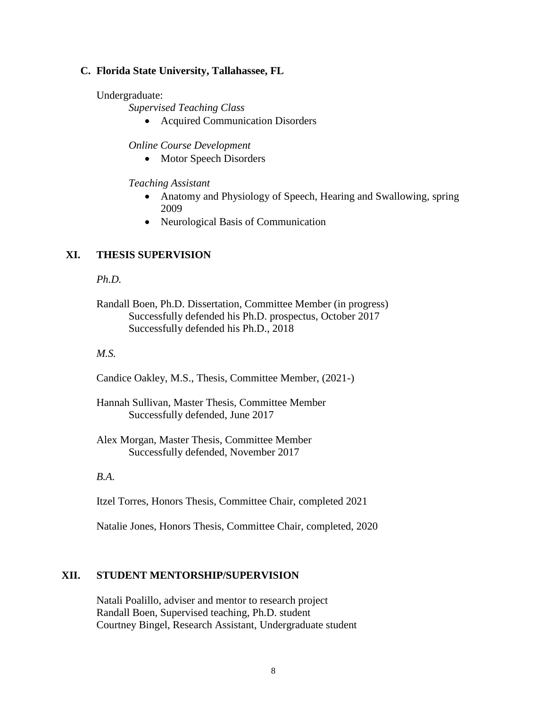#### **C. Florida State University, Tallahassee, FL**

Undergraduate:

*Supervised Teaching Class*

• Acquired Communication Disorders

*Online Course Development*

• Motor Speech Disorders

*Teaching Assistant*

- Anatomy and Physiology of Speech, Hearing and Swallowing, spring 2009
- Neurological Basis of Communication

#### **XI. THESIS SUPERVISION**

*Ph.D.*

#### *M.S.*

Candice Oakley, M.S., Thesis, Committee Member, (2021-)

- Hannah Sullivan, Master Thesis, Committee Member Successfully defended, June 2017
- Alex Morgan, Master Thesis, Committee Member Successfully defended, November 2017

#### *B.A.*

Itzel Torres, Honors Thesis, Committee Chair, completed 2021

Natalie Jones, Honors Thesis, Committee Chair, completed, 2020

#### **XII. STUDENT MENTORSHIP/SUPERVISION**

Natali Poalillo, adviser and mentor to research project Randall Boen, Supervised teaching, Ph.D. student Courtney Bingel, Research Assistant, Undergraduate student

Randall Boen, Ph.D. Dissertation, Committee Member (in progress) Successfully defended his Ph.D. prospectus, October 2017 Successfully defended his Ph.D., 2018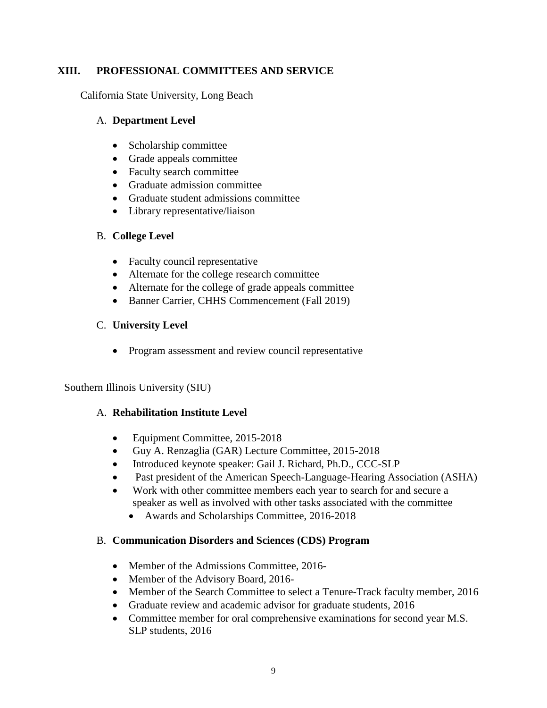# **XIII. PROFESSIONAL COMMITTEES AND SERVICE**

California State University, Long Beach

#### A. **Department Level**

- Scholarship committee
- Grade appeals committee
- Faculty search committee
- Graduate admission committee
- Graduate student admissions committee
- Library representative/liaison

# B. **College Level**

- Faculty council representative
- Alternate for the college research committee
- Alternate for the college of grade appeals committee
- Banner Carrier, CHHS Commencement (Fall 2019)

# C. **University Level**

• Program assessment and review council representative

Southern Illinois University (SIU)

### A. **Rehabilitation Institute Level**

- Equipment Committee, 2015-2018
- Guy A. Renzaglia (GAR) Lecture Committee, 2015-2018
- Introduced keynote speaker: Gail J. Richard, Ph.D., CCC-SLP
- Past president of the American Speech-Language-Hearing Association (ASHA)
- Work with other committee members each year to search for and secure a speaker as well as involved with other tasks associated with the committee
	- Awards and Scholarships Committee, 2016-2018

### B. **Communication Disorders and Sciences (CDS) Program**

- Member of the Admissions Committee, 2016-
- Member of the Advisory Board, 2016-
- Member of the Search Committee to select a Tenure-Track faculty member, 2016
- Graduate review and academic advisor for graduate students, 2016
- Committee member for oral comprehensive examinations for second year M.S. SLP students, 2016